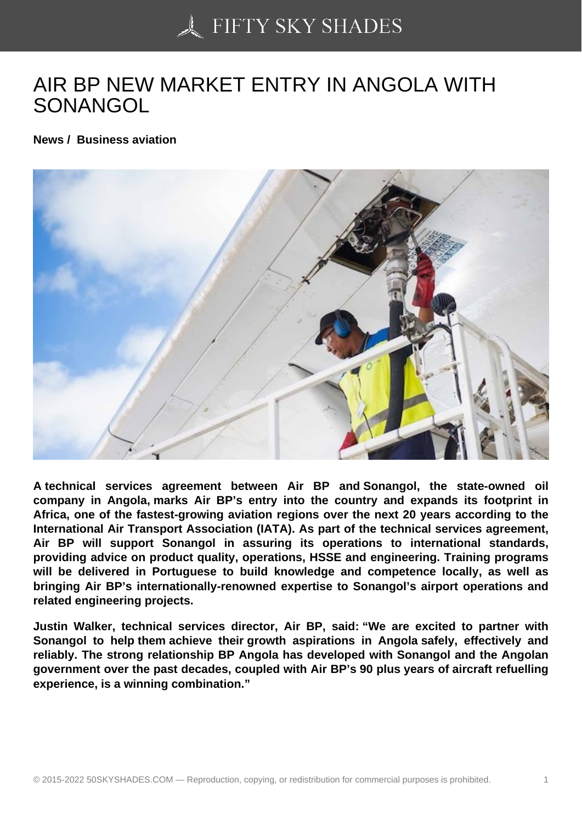## [AIR BP NEW MARKET](https://50skyshades.com) ENTRY IN ANGOLA WITH **SONANGOL**

News / Business aviation

A technical services agreement between Air BP and Sonangol, the state-owned oil company in Angola, marks Air BP's entry into the country and expands its footprint in Africa, one of the fastest-growing aviation regions over the next 20 years according to the International Air Transport Association (IATA). As part of the technical services agreement, Air BP will support Sonangol in assuring its operations to international standards, providing advice on product quality, operations, HSSE and engineering. Training programs will be delivered in Portuguese to build knowledge and competence locally, as well as bringing Air BP's internationally-renowned expertise to Sonangol's airport operations and related engineering projects.

Justin Walker, technical services director, Air BP, said: "We are excited to partner with Sonangol to help them achieve their growth aspirations in Angola safely, effectively and reliably. The strong relationship BP Angola has developed with Sonangol and the Angolan government over the past decades, coupled with Air BP's 90 plus years of aircraft refuelling experience, is a winning combination."